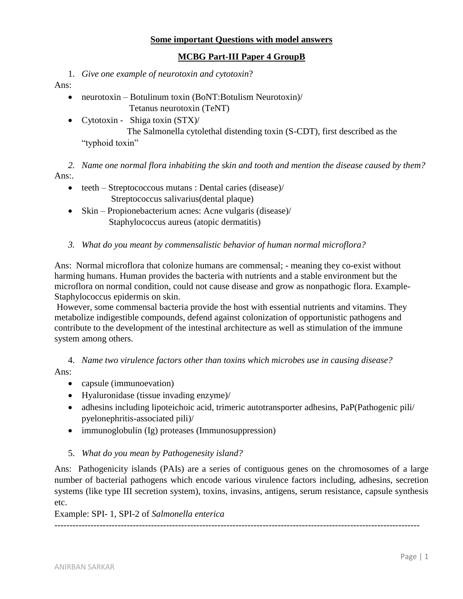### **Some important Questions with model answers**

## **MCBG Part-III Paper 4 GroupB**

1. *Give one example of neurotoxin and cytotoxin*?

Ans:

- neurotoxin Botulinum toxin (BoNT:Botulism Neurotoxin) Tetanus neurotoxin (TeNT)
	- Cytotoxin Shiga toxin (STX)/ The Salmonella cytolethal distending toxin (S-CDT), first described as the "typhoid toxin"

*2. Name one normal flora inhabiting the skin and tooth and mention the disease caused by them?* Ans:.

- teeth Streptococcous mutans : Dental caries (disease)/ Streptococcus salivarius(dental plaque)
- Skin Propionebacterium acnes: Acne vulgaris (disease)/ Staphylococcus aureus (atopic dermatitis)
- *3. What do you meant by commensalistic behavior of human normal microflora?*

Ans: Normal microflora that colonize humans are commensal; - meaning they co-exist without harming humans. Human provides the bacteria with nutrients and a stable environment but the microflora on normal condition, could not cause disease and grow as nonpathogic flora. Example-Staphylococcus epidermis on skin.

However, some commensal bacteria provide the host with essential nutrients and vitamins. They metabolize indigestible compounds, defend against colonization of opportunistic pathogens and contribute to the development of the intestinal architecture as well as stimulation of the immune system among others.

4. *Name two virulence factors other than toxins which microbes use in causing disease?* Ans:

- capsule (immunoevation)
- Hyaluronidase (tissue invading enzyme)/
- adhesins including lipoteichoic acid, trimeric autotransporter adhesins, PaP(Pathogenic pili/ pyelonephritis-associated pili)/
- immunoglobulin (Ig) proteases (Immunosuppression)
- 5. *What do you mean by Pathogenesity island?*

Ans: Pathogenicity islands (PAIs) are a series of contiguous genes on the chromosomes of a large number of bacterial pathogens which encode various virulence factors including, adhesins, secretion systems (like type III secretion system), toxins, invasins, antigens, serum resistance, capsule synthesis etc.

Example: SPI- 1, SPI-2 of *Salmonella enterica*

*-------------------------------------------------------------------------------------------------------------------------*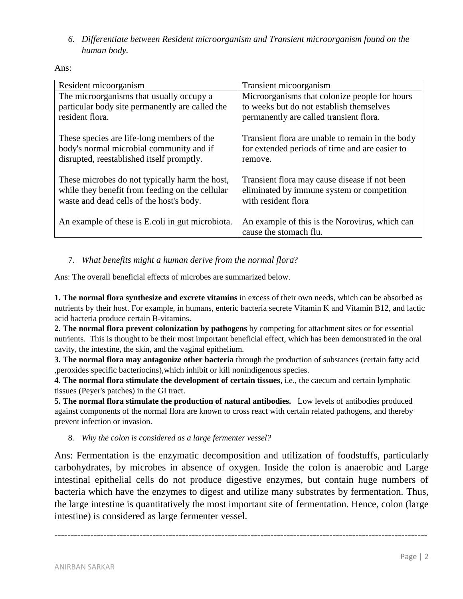*6. Differentiate between Resident microorganism and Transient microorganism found on the human body.*

Ans:

| Resident micoorganism                            | Transient micoorganism                                                   |
|--------------------------------------------------|--------------------------------------------------------------------------|
| The microorganisms that usually occupy a         | Microorganisms that colonize people for hours                            |
| particular body site permanently are called the  | to weeks but do not establish themselves                                 |
| resident flora.                                  | permanently are called transient flora.                                  |
| These species are life-long members of the       | Transient flora are unable to remain in the body                         |
| body's normal microbial community and if         | for extended periods of time and are easier to                           |
| disrupted, reestablished itself promptly.        | remove.                                                                  |
| These microbes do not typically harm the host,   | Transient flora may cause disease if not been                            |
| while they benefit from feeding on the cellular  | eliminated by immune system or competition                               |
| waste and dead cells of the host's body.         | with resident flora                                                      |
| An example of these is E.coli in gut microbiota. | An example of this is the Norovirus, which can<br>cause the stomach flu. |

# 7. *What benefits might a human derive from the normal flora*?

Ans: The overall beneficial effects of microbes are summarized below.

**1. The normal flora synthesize and excrete vitamins** in excess of their own needs, which can be absorbed as nutrients by their host. For example, in humans, enteric bacteria secrete Vitamin K and Vitamin B12, and lactic acid bacteria produce certain B-vitamins.

**2. The normal flora prevent colonization by pathogens** by competing for attachment sites or for essential nutrients. This is thought to be their most important beneficial effect, which has been demonstrated in the oral cavity, the intestine, the skin, and the vaginal epithelium.

**3. The normal flora may antagonize other bacteria** through the production of substances (certain fatty acid ,peroxides specific bacteriocins),which inhibit or kill nonindigenous species.

**4. The normal flora stimulate the development of certain tissues**, i.e., the caecum and certain lymphatic tissues (Peyer's patches) in the GI tract.

**5. The normal flora stimulate the production of natural antibodies.** Low levels of antibodies produced against components of the normal flora are known to cross react with certain related pathogens, and thereby prevent infection or invasion.

8. *Why the colon is considered as a large fermenter vessel?*

Ans: Fermentation is the enzymatic decomposition and utilization of foodstuffs, particularly carbohydrates, by microbes in absence of oxygen. Inside the colon is anaerobic and Large intestinal epithelial cells do not produce digestive enzymes, but contain huge numbers of bacteria which have the enzymes to digest and utilize many substrates by fermentation. Thus, the large intestine is quantitatively the most important site of fermentation. Hence, colon (large intestine) is considered as large fermenter vessel.

------------------------------------------------------------------------------------------------------------------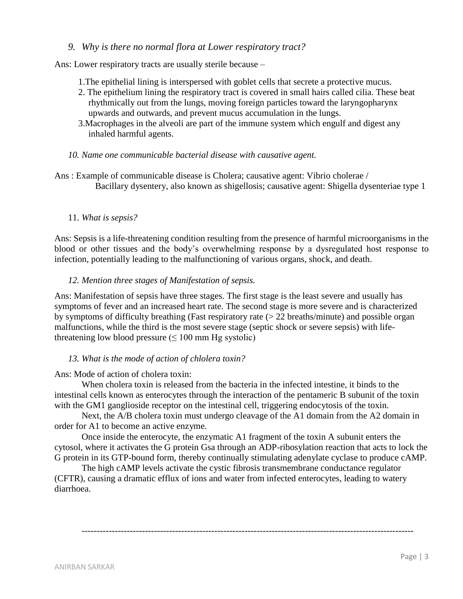### *9. Why is there no normal flora at Lower respiratory tract?*

Ans: Lower respiratory tracts are usually sterile because –

- 1.The epithelial lining is interspersed with goblet cells that secrete a protective mucus.
- 2. The epithelium lining the respiratory tract is covered in small hairs called cilia. These beat rhythmically out from the lungs, moving foreign particles toward the laryngopharynx upwards and outwards, and prevent mucus accumulation in the lungs.
- 3.Macrophages in the alveoli are part of the immune system which engulf and digest any inhaled harmful agents.
- *10. Name one communicable bacterial disease with causative agent.*

Ans : Example of communicable disease is Cholera; causative agent: Vibrio cholerae / Bacillary dysentery, also known as shigellosis; causative agent: Shigella dysenteriae type 1

#### 11. *What is sepsis?*

Ans: Sepsis is a life-threatening condition resulting from the presence of harmful microorganisms in the blood or other tissues and the body's overwhelming response by a dysregulated host response to infection, potentially leading to the malfunctioning of various organs, shock, and death.

#### *12. Mention three stages of Manifestation of sepsis.*

Ans: Manifestation of sepsis have three stages. The first stage is the least severe and usually has symptoms of fever and an increased heart rate. The second stage is more severe and is characterized by symptoms of difficulty breathing (Fast respiratory rate (> 22 breaths/minute) and possible organ malfunctions, while the third is the most severe stage (septic shock or severe sepsis) with lifethreatening low blood pressure  $(< 100$  mm Hg systolic)

### *13. What is the mode of action of chlolera toxin?*

### Ans: Mode of action of cholera toxin:

When cholera toxin is released from the bacteria in the infected intestine, it binds to the intestinal cells known as enterocytes through the interaction of the pentameric B subunit of the toxin with the GM1 ganglioside receptor on the intestinal cell, triggering endocytosis of the toxin.

Next, the A/B cholera toxin must undergo cleavage of the A1 domain from the A2 domain in order for A1 to become an active enzyme.

Once inside the enterocyte, the enzymatic A1 fragment of the toxin A subunit enters the cytosol, where it activates the G protein Gsa through an ADP-ribosylation reaction that acts to lock the G protein in its GTP-bound form, thereby continually stimulating adenylate cyclase to produce cAMP.

--------------------------------------------------------------------------------------------------------------

The high cAMP levels activate the cystic fibrosis transmembrane conductance regulator (CFTR), causing a dramatic efflux of ions and water from infected enterocytes, leading to watery diarrhoea.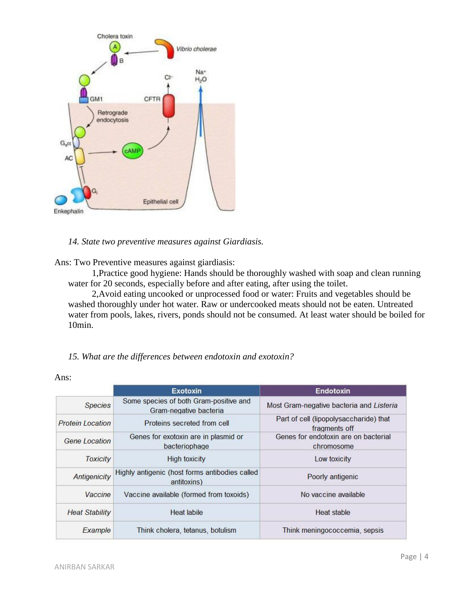

*14. State two preventive measures against Giardiasis.*

Ans: Two Preventive measures against giardiasis:

1,Practice good hygiene: Hands should be thoroughly washed with soap and clean running water for 20 seconds, especially before and after eating, after using the toilet.

2,Avoid eating uncooked or unprocessed food or water: Fruits and vegetables should be washed thoroughly under hot water. Raw or undercooked meats should not be eaten. Untreated water from pools, lakes, rivers, ponds should not be consumed. At least water should be boiled for 10min.

### *15. What are the differences between endotoxin and exotoxin?*

|                         | <b>Exotoxin</b>                                                  | Endotoxin                                               |
|-------------------------|------------------------------------------------------------------|---------------------------------------------------------|
| <b>Species</b>          | Some species of both Gram-positive and<br>Gram-negative bacteria | Most Gram-negative bacteria and Listeria                |
| <b>Protein Location</b> | Proteins secreted from cell                                      | Part of cell (lipopolysaccharide) that<br>fragments off |
| Gene Location           | Genes for exotoxin are in plasmid or<br>bacteriophage            | Genes for endotoxin are on bacterial<br>chromosome      |
| <b>Toxicity</b>         | <b>High toxicity</b>                                             | Low toxicity                                            |
| Antigenicity            | Highly antigenic (host forms antibodies called<br>antitoxins)    | Poorly antigenic                                        |
| Vaccine                 | Vaccine available (formed from toxoids)                          | No vaccine available                                    |
| <b>Heat Stability</b>   | Heat labile                                                      | Heat stable                                             |
| Example                 | Think cholera, tetanus, botulism                                 | Think meningococcemia, sepsis                           |

Ans: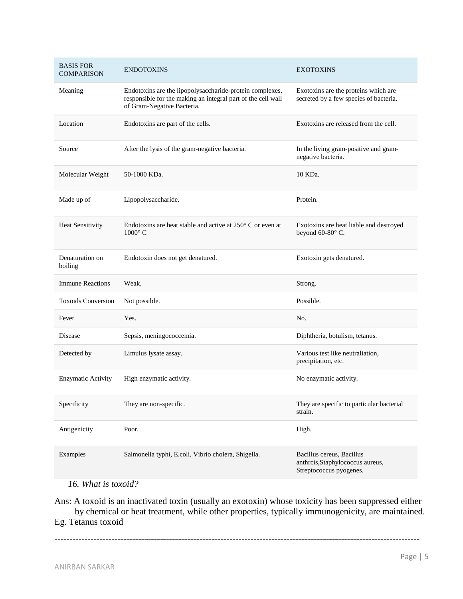| <b>BASIS FOR</b><br><b>COMPARISON</b> | <b>ENDOTOXINS</b>                                                                                                                                      | <b>EXOTOXINS</b>                                                               |
|---------------------------------------|--------------------------------------------------------------------------------------------------------------------------------------------------------|--------------------------------------------------------------------------------|
| Meaning                               | Endotoxins are the lipopolysaccharide-protein complexes,<br>responsible for the making an integral part of the cell wall<br>of Gram-Negative Bacteria. | Exotoxins are the proteins which are<br>secreted by a few species of bacteria. |
| Location                              | Endotoxins are part of the cells.                                                                                                                      | Exotoxins are released from the cell.                                          |
| Source                                | After the lysis of the gram-negative bacteria.                                                                                                         | In the living gram-positive and gram-<br>negative bacteria.                    |
| Molecular Weight                      | 50-1000 KDa.                                                                                                                                           | 10 KDa.                                                                        |
| Made up of                            | Lipopolysaccharide.                                                                                                                                    | Protein.                                                                       |
| <b>Heat Sensitivity</b>               | Endotoxins are heat stable and active at $250^{\circ}$ C or even at<br>$1000^{\circ}$ C                                                                | Exotoxins are heat liable and destroyed<br>beyond 60-80°C.                     |
| Denaturation on<br>boiling            | Endotoxin does not get denatured.                                                                                                                      | Exotoxin gets denatured.                                                       |
| <b>Immune Reactions</b>               | Weak.                                                                                                                                                  | Strong.                                                                        |
| <b>Toxoids Conversion</b>             | Not possible.                                                                                                                                          | Possible.                                                                      |
|                                       |                                                                                                                                                        |                                                                                |
| Fever                                 | Yes.                                                                                                                                                   | No.                                                                            |
| Disease                               | Sepsis, meningococcemia.                                                                                                                               | Diphtheria, botulism, tetanus.                                                 |
| Detected by                           | Limulus lysate assay.                                                                                                                                  | Various test like neutraliation,<br>precipitation, etc.                        |
| <b>Enzymatic Activity</b>             | High enzymatic activity.                                                                                                                               | No enzymatic activity.                                                         |
| Specificity                           | They are non-specific.                                                                                                                                 | They are specific to particular bacterial<br>strain.                           |
| Antigenicity                          | Poor.                                                                                                                                                  | High.                                                                          |

## *16. What is toxoid?*

Ans: A toxoid is an inactivated toxin (usually an exotoxin) whose toxicity has been suppressed either by chemical or heat treatment, while other properties, typically immunogenicity, are maintained. Eg. Tetanus toxoid

-------------------------------------------------------------------------------------------------------------------------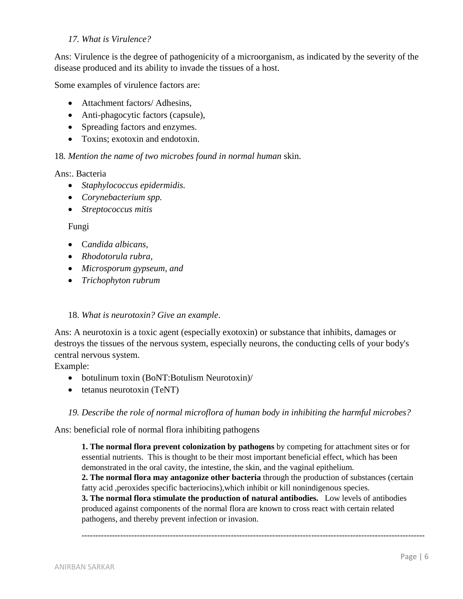## *17. What is Virulence?*

Ans: Virulence is the degree of pathogenicity of a microorganism, as indicated by the severity of the disease produced and its ability to invade the tissues of a host.

Some examples of virulence factors are:

- Attachment factors/ Adhesins,
- Anti-phagocytic factors (capsule),
- Spreading factors and enzymes.
- Toxins: exotoxin and endotoxin.

## 18*. Mention the name of two microbes found in normal human* skin.

### Ans:. Bacteria

- *Staphylococcus epidermidis.*
- *Corynebacterium spp.*
- *Streptococcus mitis*

## Fungi

- C*andida albicans,*
- *Rhodotorula rubra,*
- *Microsporum gypseum, and*
- *Trichophyton rubrum*

### 18. *What is neurotoxin? Give an example*.

Ans: A neurotoxin is a toxic agent (especially exotoxin) or substance that inhibits, damages or destroys the tissues of the nervous system, especially neurons, the conducting cells of your body's central nervous system.

Example:

- botulinum toxin (BoNT:Botulism Neurotoxin)/
- tetanus neurotoxin (TeNT)

*19. Describe the role of normal microflora of human body in inhibiting the harmful microbes?*

Ans: beneficial role of normal flora inhibiting pathogens

**1. The normal flora prevent colonization by pathogens** by competing for attachment sites or for essential nutrients. This is thought to be their most important beneficial effect, which has been demonstrated in the oral cavity, the intestine, the skin, and the vaginal epithelium.

**2. The normal flora may antagonize other bacteria** through the production of substances (certain fatty acid ,peroxides specific bacteriocins),which inhibit or kill nonindigenous species.

**3. The normal flora stimulate the production of natural antibodies.** Low levels of antibodies produced against components of the normal flora are known to cross react with certain related pathogens, and thereby prevent infection or invasion.

----------------------------------------------------------------------------------------------------------------------------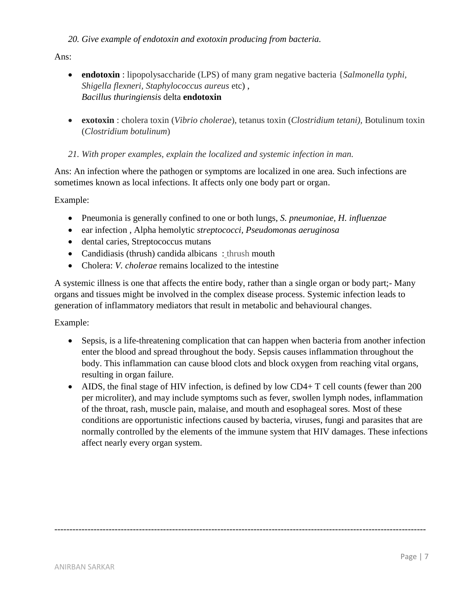Ans:

- **endotoxin** : lipopolysaccharide (LPS) of many gram negative bacteria {*Salmonella typhi, Shigella flexneri, Staphylococcus aureus* etc) , *Bacillus thuringiensis* delta **endotoxin**
- **exotoxin** : cholera toxin (*Vibrio cholerae*), tetanus toxin (*Clostridium tetani),* Botulinum toxin (*Clostridium botulinum*)

# *21. With proper examples, explain the localized and systemic infection in man.*

Ans: An infection where the pathogen or symptoms are localized in one area. Such infections are sometimes known as local infections. It affects only one body part or organ.

Example:

- Pneumonia is generally confined to one or both lungs, *S. pneumoniae, H. influenzae*
- ear infection , Alpha hemolytic *streptococci, Pseudomonas aeruginosa*
- dental caries, Streptococcus mutans
- Candidiasis (thrush) candida albicans: thrush mouth
- Cholera: *V. cholerae* remains localized to the intestine

A systemic illness is one that affects the entire body, rather than a single organ or body part;- Many organs and tissues might be involved in the complex disease process. Systemic infection leads to generation of inflammatory mediators that result in metabolic and behavioural changes.

Example:

- Sepsis, is a life-threatening complication that can happen when bacteria from another infection enter the blood and spread throughout the body. Sepsis causes inflammation throughout the body. This inflammation can cause blood clots and block oxygen from reaching vital organs, resulting in organ failure.
- AIDS, the final stage of HIV infection, is defined by low CD4+ T cell counts (fewer than 200) per microliter), and may include symptoms such as fever, swollen lymph nodes, inflammation of the throat, rash, muscle pain, malaise, and mouth and esophageal sores. Most of these conditions are opportunistic infections caused by bacteria, viruses, fungi and parasites that are normally controlled by the elements of the immune system that HIV damages. These infections affect nearly every organ system.

---------------------------------------------------------------------------------------------------------------------------